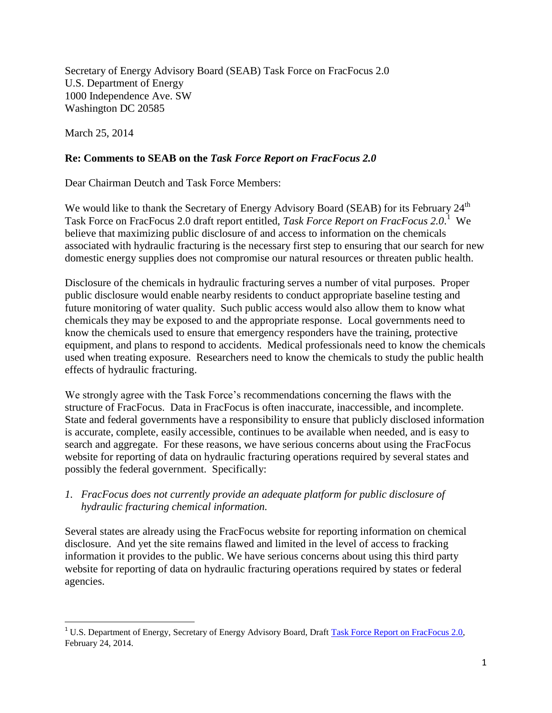Secretary of Energy Advisory Board (SEAB) Task Force on FracFocus 2.0 U.S. Department of Energy 1000 Independence Ave. SW Washington DC 20585

March 25, 2014

## **Re: Comments to SEAB on the** *Task Force Report on FracFocus 2.0*

Dear Chairman Deutch and Task Force Members:

We would like to thank the Secretary of Energy Advisory Board (SEAB) for its February 24<sup>th</sup> Task Force on FracFocus 2.0 draft report entitled, *Task Force Report on FracFocus 2.0*. 1 We believe that maximizing public disclosure of and access to information on the chemicals associated with hydraulic fracturing is the necessary first step to ensuring that our search for new domestic energy supplies does not compromise our natural resources or threaten public health.

Disclosure of the chemicals in hydraulic fracturing serves a number of vital purposes. Proper public disclosure would enable nearby residents to conduct appropriate baseline testing and future monitoring of water quality. Such public access would also allow them to know what chemicals they may be exposed to and the appropriate response. Local governments need to know the chemicals used to ensure that emergency responders have the training, protective equipment, and plans to respond to accidents. Medical professionals need to know the chemicals used when treating exposure. Researchers need to know the chemicals to study the public health effects of hydraulic fracturing.

We strongly agree with the Task Force's recommendations concerning the flaws with the structure of FracFocus. Data in FracFocus is often inaccurate, inaccessible, and incomplete. State and federal governments have a responsibility to ensure that publicly disclosed information is accurate, complete, easily accessible, continues to be available when needed, and is easy to search and aggregate. For these reasons, we have serious concerns about using the FracFocus website for reporting of data on hydraulic fracturing operations required by several states and possibly the federal government. Specifically:

*1. FracFocus does not currently provide an adequate platform for public disclosure of hydraulic fracturing chemical information.* 

Several states are already using the FracFocus website for reporting information on chemical disclosure. And yet the site remains flawed and limited in the level of access to fracking information it provides to the public. We have serious concerns about using this third party website for reporting of data on hydraulic fracturing operations required by states or federal agencies.

l <sup>1</sup> U.S. Department of Energy, Secretary of Energy Advisory Board, Draft [Task Force Report on FracFocus 2.0,](http://www.energy.gov/seab/downloads/fracfocus-20-task-force-report) February 24, 2014.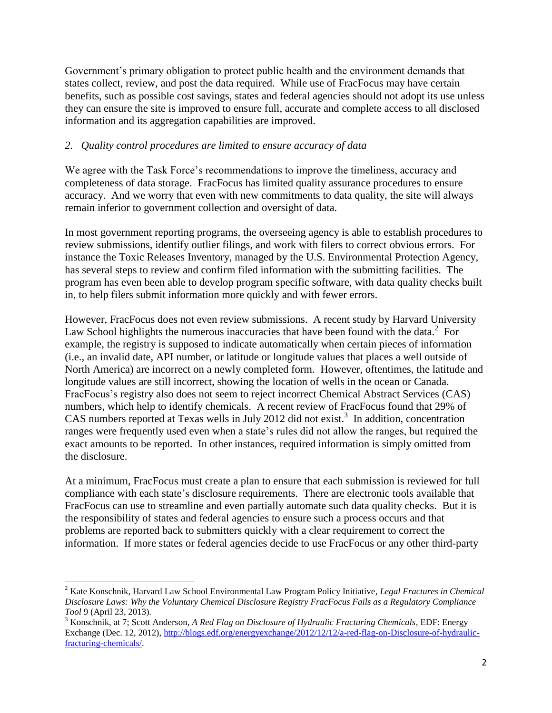Government's primary obligation to protect public health and the environment demands that states collect, review, and post the data required. While use of FracFocus may have certain benefits, such as possible cost savings, states and federal agencies should not adopt its use unless they can ensure the site is improved to ensure full, accurate and complete access to all disclosed information and its aggregation capabilities are improved.

### *2. Quality control procedures are limited to ensure accuracy of data*

We agree with the Task Force's recommendations to improve the timeliness, accuracy and completeness of data storage. FracFocus has limited quality assurance procedures to ensure accuracy. And we worry that even with new commitments to data quality, the site will always remain inferior to government collection and oversight of data.

In most government reporting programs, the overseeing agency is able to establish procedures to review submissions, identify outlier filings, and work with filers to correct obvious errors. For instance the Toxic Releases Inventory, managed by the U.S. Environmental Protection Agency, has several steps to review and confirm filed information with the submitting facilities. The program has even been able to develop program specific software, with data quality checks built in, to help filers submit information more quickly and with fewer errors.

However, FracFocus does not even review submissions. A recent study by Harvard University Law School highlights the numerous inaccuracies that have been found with the data. $2$  For example, the registry is supposed to indicate automatically when certain pieces of information (i.e., an invalid date, API number, or latitude or longitude values that places a well outside of North America) are incorrect on a newly completed form. However, oftentimes, the latitude and longitude values are still incorrect, showing the location of wells in the ocean or Canada. FracFocus's registry also does not seem to reject incorrect Chemical Abstract Services (CAS) numbers, which help to identify chemicals. A recent review of FracFocus found that 29% of CAS numbers reported at Texas wells in July 2012 did not exist.<sup>3</sup> In addition, concentration ranges were frequently used even when a state's rules did not allow the ranges, but required the exact amounts to be reported. In other instances, required information is simply omitted from the disclosure.

At a minimum, FracFocus must create a plan to ensure that each submission is reviewed for full compliance with each state's disclosure requirements. There are electronic tools available that FracFocus can use to streamline and even partially automate such data quality checks. But it is the responsibility of states and federal agencies to ensure such a process occurs and that problems are reported back to submitters quickly with a clear requirement to correct the information. If more states or federal agencies decide to use FracFocus or any other third-party

l

<sup>2</sup> Kate Konschnik, Harvard Law School Environmental Law Program Policy Initiative*, Legal Fractures in Chemical Disclosure Laws: Why the Voluntary Chemical Disclosure Registry FracFocus Fails as a Regulatory Compliance Tool* 9 (April 23, 2013)*.*

<sup>3</sup> Konschnik, at 7; Scott Anderson, *A Red Flag on Disclosure of Hydraulic Fracturing Chemicals*, EDF: Energy Exchange (Dec. 12, 2012)[, http://blogs.edf.org/energyexchange/2012/12/12/a-red-flag-on-Disclosure-of-hydraulic](http://blogs.edf.org/energyexchange/2012/12/12/a-red-flag-on-Disclosure-of-hydraulic-fracturing-chemicals/)[fracturing-chemicals/.](http://blogs.edf.org/energyexchange/2012/12/12/a-red-flag-on-Disclosure-of-hydraulic-fracturing-chemicals/)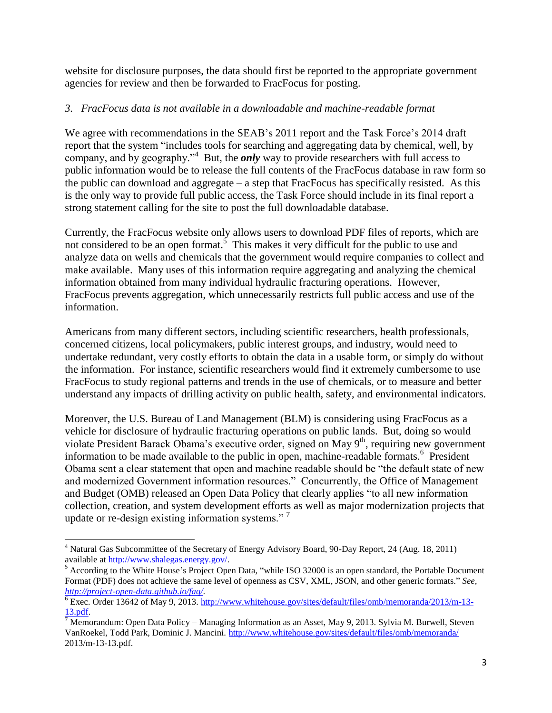website for disclosure purposes, the data should first be reported to the appropriate government agencies for review and then be forwarded to FracFocus for posting.

# *3. FracFocus data is not available in a downloadable and machine-readable format*

We agree with recommendations in the SEAB's 2011 report and the Task Force's 2014 draft report that the system "includes tools for searching and aggregating data by chemical, well, by company, and by geography."<sup>4</sup> But, the *only* way to provide researchers with full access to public information would be to release the full contents of the FracFocus database in raw form so the public can download and aggregate – a step that FracFocus has specifically resisted. As this is the only way to provide full public access, the Task Force should include in its final report a strong statement calling for the site to post the full downloadable database.

Currently, the FracFocus website only allows users to download PDF files of reports, which are not considered to be an open format.<sup>5</sup> This makes it very difficult for the public to use and analyze data on wells and chemicals that the government would require companies to collect and make available. Many uses of this information require aggregating and analyzing the chemical information obtained from many individual hydraulic fracturing operations. However, FracFocus prevents aggregation, which unnecessarily restricts full public access and use of the information.

Americans from many different sectors, including scientific researchers, health professionals, concerned citizens, local policymakers, public interest groups, and industry, would need to undertake redundant, very costly efforts to obtain the data in a usable form, or simply do without the information. For instance, scientific researchers would find it extremely cumbersome to use FracFocus to study regional patterns and trends in the use of chemicals, or to measure and better understand any impacts of drilling activity on public health, safety, and environmental indicators.

Moreover, the U.S. Bureau of Land Management (BLM) is considering using FracFocus as a vehicle for disclosure of hydraulic fracturing operations on public lands. But, doing so would violate President Barack Obama's executive order, signed on May 9<sup>th</sup>, requiring new government information to be made available to the public in open, machine-readable formats.<sup>6</sup> President Obama sent a clear statement that open and machine readable should be "the default state of new and modernized Government information resources." Concurrently, the Office of Management and Budget (OMB) released an Open Data Policy that clearly applies "to all new information collection, creation, and system development efforts as well as major modernization projects that update or re-design existing information systems."<sup>7</sup>

 $\overline{\phantom{a}}$ 

<sup>4</sup> Natural Gas Subcommittee of the Secretary of Energy Advisory Board, 90-Day Report, 24 (Aug. 18, 2011) available at [http://www.shalegas.energy.gov/.](http://www.shalegas.energy.gov/)

<sup>&</sup>lt;sup>5</sup> According to the White House's Project Open Data, "while ISO 32000 is an open standard, the Portable Document Format (PDF) does not achieve the same level of openness as CSV, XML, JSON, and other generic formats." *See, [http://project-open-data.github.io/faq/.](http://project-open-data.github.io/faq/)* 

 $\overline{6}$  Exec. Order 13642 of May 9, 2013[. http://www.whitehouse.gov/sites/default/files/omb/memoranda/2013/m-13-](http://www.whitehouse.gov/sites/default/files/omb/memoranda/2013/m-13-13.pdf) [13.pdf.](http://www.whitehouse.gov/sites/default/files/omb/memoranda/2013/m-13-13.pdf)

<sup>&</sup>lt;sup>7</sup> Memorandum: Open Data Policy – Managing Information as an Asset, May 9, 2013. Sylvia M. Burwell, Steven VanRoekel, Todd Park, Dominic J. Mancini.<http://www.whitehouse.gov/sites/default/files/omb/memoranda/> 2013/m-13-13.pdf.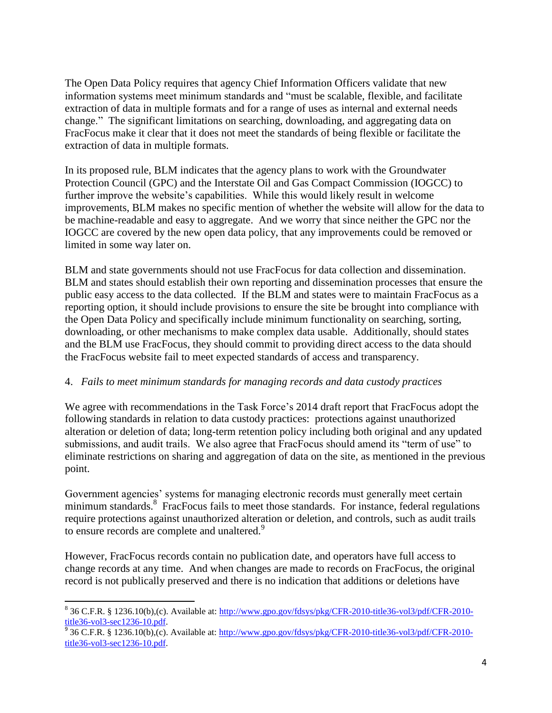The Open Data Policy requires that agency Chief Information Officers validate that new information systems meet minimum standards and "must be scalable, flexible, and facilitate extraction of data in multiple formats and for a range of uses as internal and external needs change." The significant limitations on searching, downloading, and aggregating data on FracFocus make it clear that it does not meet the standards of being flexible or facilitate the extraction of data in multiple formats.

In its proposed rule, BLM indicates that the agency plans to work with the Groundwater Protection Council (GPC) and the Interstate Oil and Gas Compact Commission (IOGCC) to further improve the website's capabilities. While this would likely result in welcome improvements, BLM makes no specific mention of whether the website will allow for the data to be machine-readable and easy to aggregate. And we worry that since neither the GPC nor the IOGCC are covered by the new open data policy, that any improvements could be removed or limited in some way later on.

BLM and state governments should not use FracFocus for data collection and dissemination. BLM and states should establish their own reporting and dissemination processes that ensure the public easy access to the data collected. If the BLM and states were to maintain FracFocus as a reporting option, it should include provisions to ensure the site be brought into compliance with the Open Data Policy and specifically include minimum functionality on searching, sorting, downloading, or other mechanisms to make complex data usable. Additionally, should states and the BLM use FracFocus, they should commit to providing direct access to the data should the FracFocus website fail to meet expected standards of access and transparency.

#### 4. *Fails to meet minimum standards for managing records and data custody practices*

We agree with recommendations in the Task Force's 2014 draft report that FracFocus adopt the following standards in relation to data custody practices: protections against unauthorized alteration or deletion of data; long-term retention policy including both original and any updated submissions, and audit trails. We also agree that FracFocus should amend its "term of use" to eliminate restrictions on sharing and aggregation of data on the site, as mentioned in the previous point.

Government agencies' systems for managing electronic records must generally meet certain minimum standards.<sup>8</sup> FracFocus fails to meet those standards. For instance, federal regulations require protections against unauthorized alteration or deletion, and controls, such as audit trails to ensure records are complete and unaltered.<sup>9</sup>

However, FracFocus records contain no publication date, and operators have full access to change records at any time. And when changes are made to records on FracFocus, the original record is not publically preserved and there is no indication that additions or deletions have

 $\overline{\phantom{a}}$ 

<sup>&</sup>lt;sup>8</sup> 36 C.F.R. § 1236.10(b),(c). Available at: [http://www.gpo.gov/fdsys/pkg/CFR-2010-title36-vol3/pdf/CFR-2010](http://www.gpo.gov/fdsys/pkg/CFR-2010-title36-vol3/pdf/CFR-2010-title36-vol3-sec1236-10.pdf) [title36-vol3-sec1236-10.pdf.](http://www.gpo.gov/fdsys/pkg/CFR-2010-title36-vol3/pdf/CFR-2010-title36-vol3-sec1236-10.pdf)

<sup>&</sup>lt;sup>9</sup> 36 C.F.R. § 1236.10(b),(c). Available at: [http://www.gpo.gov/fdsys/pkg/CFR-2010-title36-vol3/pdf/CFR-2010](http://www.gpo.gov/fdsys/pkg/CFR-2010-title36-vol3/pdf/CFR-2010-title36-vol3-sec1236-10.pdf) [title36-vol3-sec1236-10.pdf.](http://www.gpo.gov/fdsys/pkg/CFR-2010-title36-vol3/pdf/CFR-2010-title36-vol3-sec1236-10.pdf)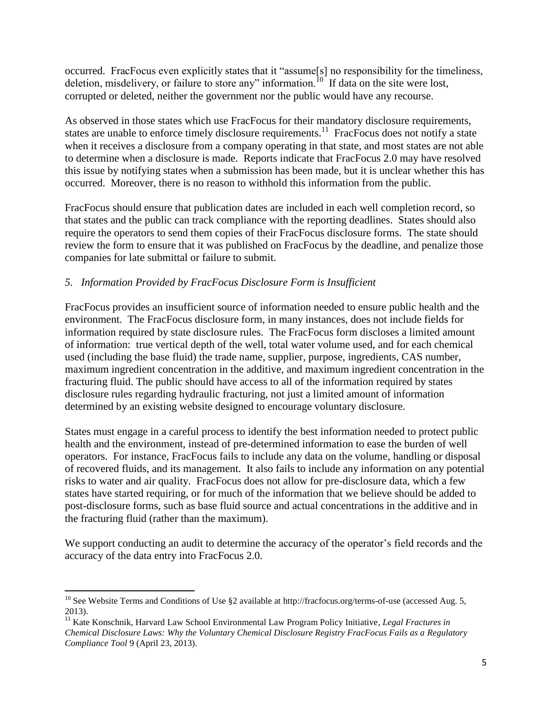occurred. FracFocus even explicitly states that it "assume[s] no responsibility for the timeliness, deletion, misdelivery, or failure to store any" information.<sup>10</sup> If data on the site were lost, corrupted or deleted, neither the government nor the public would have any recourse.

As observed in those states which use FracFocus for their mandatory disclosure requirements, states are unable to enforce timely disclosure requirements.<sup>11</sup> FracFocus does not notify a state when it receives a disclosure from a company operating in that state, and most states are not able to determine when a disclosure is made. Reports indicate that FracFocus 2.0 may have resolved this issue by notifying states when a submission has been made, but it is unclear whether this has occurred. Moreover, there is no reason to withhold this information from the public.

FracFocus should ensure that publication dates are included in each well completion record, so that states and the public can track compliance with the reporting deadlines. States should also require the operators to send them copies of their FracFocus disclosure forms. The state should review the form to ensure that it was published on FracFocus by the deadline, and penalize those companies for late submittal or failure to submit.

# *5. Information Provided by FracFocus Disclosure Form is Insufficient*

FracFocus provides an insufficient source of information needed to ensure public health and the environment. The FracFocus disclosure form, in many instances, does not include fields for information required by state disclosure rules. The FracFocus form discloses a limited amount of information: true vertical depth of the well, total water volume used, and for each chemical used (including the base fluid) the trade name, supplier, purpose, ingredients, CAS number, maximum ingredient concentration in the additive, and maximum ingredient concentration in the fracturing fluid. The public should have access to all of the information required by states disclosure rules regarding hydraulic fracturing, not just a limited amount of information determined by an existing website designed to encourage voluntary disclosure.

States must engage in a careful process to identify the best information needed to protect public health and the environment, instead of pre-determined information to ease the burden of well operators. For instance, FracFocus fails to include any data on the volume, handling or disposal of recovered fluids, and its management. It also fails to include any information on any potential risks to water and air quality. FracFocus does not allow for pre-disclosure data, which a few states have started requiring, or for much of the information that we believe should be added to post-disclosure forms, such as base fluid source and actual concentrations in the additive and in the fracturing fluid (rather than the maximum).

We support conducting an audit to determine the accuracy of the operator's field records and the accuracy of the data entry into FracFocus 2.0.

 $\overline{a}$ <sup>10</sup> See Website Terms and Conditions of Use  $\S2$  available at http://fracfocus.org/terms-of-use (accessed Aug. 5, 2013).

<sup>11</sup> Kate Konschnik, Harvard Law School Environmental Law Program Policy Initiative*, Legal Fractures in Chemical Disclosure Laws: Why the Voluntary Chemical Disclosure Registry FracFocus Fails as a Regulatory Compliance Tool* 9 (April 23, 2013)*.*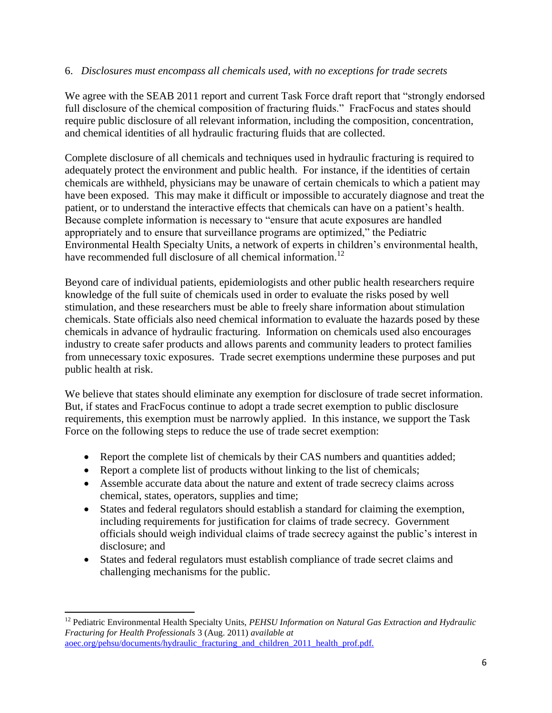#### 6. *Disclosures must encompass all chemicals used, with no exceptions for trade secrets*

We agree with the SEAB 2011 report and current Task Force draft report that "strongly endorsed" full disclosure of the chemical composition of fracturing fluids." FracFocus and states should require public disclosure of all relevant information, including the composition, concentration, and chemical identities of all hydraulic fracturing fluids that are collected.

Complete disclosure of all chemicals and techniques used in hydraulic fracturing is required to adequately protect the environment and public health. For instance, if the identities of certain chemicals are withheld, physicians may be unaware of certain chemicals to which a patient may have been exposed. This may make it difficult or impossible to accurately diagnose and treat the patient, or to understand the interactive effects that chemicals can have on a patient's health. Because complete information is necessary to "ensure that acute exposures are handled appropriately and to ensure that surveillance programs are optimized," the Pediatric Environmental Health Specialty Units, a network of experts in children's environmental health, have recommended full disclosure of all chemical information.<sup>12</sup>

Beyond care of individual patients, epidemiologists and other public health researchers require knowledge of the full suite of chemicals used in order to evaluate the risks posed by well stimulation, and these researchers must be able to freely share information about stimulation chemicals. State officials also need chemical information to evaluate the hazards posed by these chemicals in advance of hydraulic fracturing. Information on chemicals used also encourages industry to create safer products and allows parents and community leaders to protect families from unnecessary toxic exposures. Trade secret exemptions undermine these purposes and put public health at risk.

We believe that states should eliminate any exemption for disclosure of trade secret information. But, if states and FracFocus continue to adopt a trade secret exemption to public disclosure requirements, this exemption must be narrowly applied. In this instance, we support the Task Force on the following steps to reduce the use of trade secret exemption:

- Report the complete list of chemicals by their CAS numbers and quantities added;
- Report a complete list of products without linking to the list of chemicals;
- Assemble accurate data about the nature and extent of trade secrecy claims across chemical, states, operators, supplies and time;
- States and federal regulators should establish a standard for claiming the exemption, including requirements for justification for claims of trade secrecy. Government officials should weigh individual claims of trade secrecy against the public's interest in disclosure; and
- States and federal regulators must establish compliance of trade secret claims and challenging mechanisms for the public.

 $\overline{\phantom{a}}$ <sup>12</sup> Pediatric Environmental Health Specialty Units, *PEHSU Information on Natural Gas Extraction and Hydraulic Fracturing for Health Professionals* 3 (Aug. 2011) *available at* [aoec.org/pehsu/documents/hydraulic\\_fracturing\\_and\\_children\\_2011\\_health\\_prof.pdf.](file:///C:/Users/mmcfeeley/AppData/Local/Microsoft/Windows/Temporary%20Internet%20Files/Content.Outlook/FLDW5ISB/aoec.org/pehsu/documents/hydraulic_fracturing_and_children_2011_health_prof.pdf)